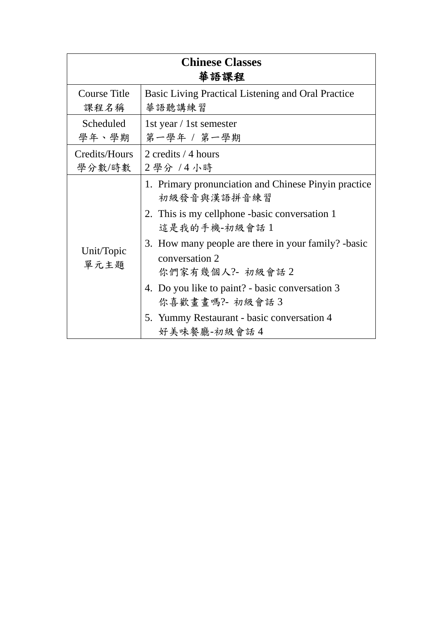| <b>Chinese Classes</b><br>華語課程 |                                                                                                                                                                                                                                                                                                                                                                    |
|--------------------------------|--------------------------------------------------------------------------------------------------------------------------------------------------------------------------------------------------------------------------------------------------------------------------------------------------------------------------------------------------------------------|
| <b>Course Title</b>            | Basic Living Practical Listening and Oral Practice                                                                                                                                                                                                                                                                                                                 |
| 课程名稱                           | 華語聽講練習                                                                                                                                                                                                                                                                                                                                                             |
| Scheduled                      | 1st year / 1st semester                                                                                                                                                                                                                                                                                                                                            |
| 學年、學期                          | 第一學年 / 第一學期                                                                                                                                                                                                                                                                                                                                                        |
| Credits/Hours                  | 2 credits / 4 hours                                                                                                                                                                                                                                                                                                                                                |
| 學分數/時數                         | 2學分 /4小時                                                                                                                                                                                                                                                                                                                                                           |
| Unit/Topic<br>單元主題             | 1. Primary pronunciation and Chinese Pinyin practice<br>初級發音與漢語拼音練習<br>2. This is my cellphone -basic conversation 1<br>這是我的手機-初級會話1<br>3. How many people are there in your family? -basic<br>conversation 2<br>你們家有幾個人 ?- 初級會話2<br>4. Do you like to paint? - basic conversation 3<br>你喜歡畫畫嗎? 初級會話3<br>5. Yummy Restaurant - basic conversation 4<br>好美味餐廳-初級會話4 |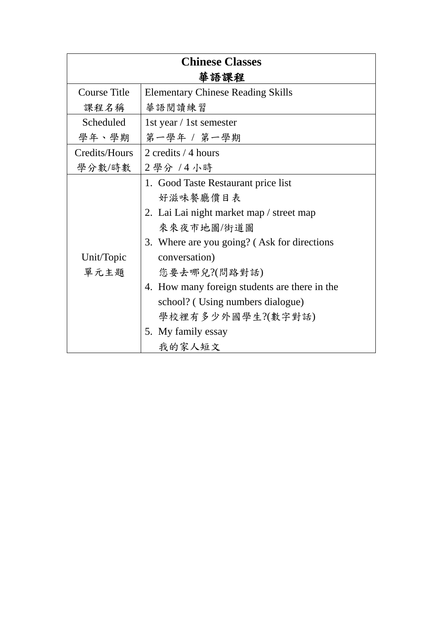| <b>Chinese Classes</b> |                                                                                                                                                                                                                                                                                                                                     |  |
|------------------------|-------------------------------------------------------------------------------------------------------------------------------------------------------------------------------------------------------------------------------------------------------------------------------------------------------------------------------------|--|
| 華語課程                   |                                                                                                                                                                                                                                                                                                                                     |  |
| <b>Course Title</b>    | <b>Elementary Chinese Reading Skills</b>                                                                                                                                                                                                                                                                                            |  |
| 课程名稱                   | 華語閱讀練習                                                                                                                                                                                                                                                                                                                              |  |
| Scheduled              | 1st year / 1st semester                                                                                                                                                                                                                                                                                                             |  |
| 學年、學期                  | 第一學年 / 第一學期                                                                                                                                                                                                                                                                                                                         |  |
| Credits/Hours          | 2 credits / 4 hours                                                                                                                                                                                                                                                                                                                 |  |
| 學分數/時數                 | 2學分 /4小時                                                                                                                                                                                                                                                                                                                            |  |
| Unit/Topic<br>單元主題     | 1. Good Taste Restaurant price list<br>好滋味餐廳價目表<br>2. Lai Lai night market map / street map<br>來來夜市地圖/街道圖<br>3. Where are you going? (Ask for directions<br>conversation)<br>您要去哪兒?(問路對話)<br>4. How many foreign students are there in the<br>school? (Using numbers dialogue)<br>學校裡有多少外國學生?(數字對話)<br>5. My family essay<br>我的家人短文 |  |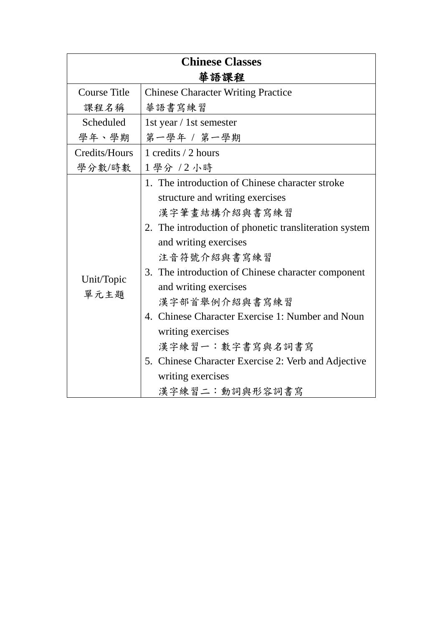| <b>Chinese Classes</b> |                                                        |  |
|------------------------|--------------------------------------------------------|--|
| 華語課程                   |                                                        |  |
| <b>Course Title</b>    | <b>Chinese Character Writing Practice</b>              |  |
| 课程名稱                   | 華語書寫練習                                                 |  |
| Scheduled              | 1st year / 1st semester                                |  |
| 學年、學期                  | 第一學年 / 第一學期                                            |  |
| Credits/Hours          | 1 credits / 2 hours                                    |  |
| 學分數/時數                 | 1學分 /2小時                                               |  |
|                        | 1. The introduction of Chinese character stroke        |  |
|                        | structure and writing exercises                        |  |
|                        | 漢字筆畫結構介紹與書寫練習                                          |  |
|                        | 2. The introduction of phonetic transliteration system |  |
|                        | and writing exercises                                  |  |
|                        | 注音符號介紹與書寫練習                                            |  |
| Unit/Topic             | 3. The introduction of Chinese character component     |  |
| 單元主題                   | and writing exercises                                  |  |
|                        | 漢字部首舉例介紹與書寫練習                                          |  |
|                        | 4. Chinese Character Exercise 1: Number and Noun       |  |
|                        | writing exercises                                      |  |
|                        | 漢字練習一:數字書寫與名詞書寫                                        |  |
|                        | 5. Chinese Character Exercise 2: Verb and Adjective    |  |
|                        | writing exercises                                      |  |
|                        | 漢字練習二:動詞與形容詞書寫                                         |  |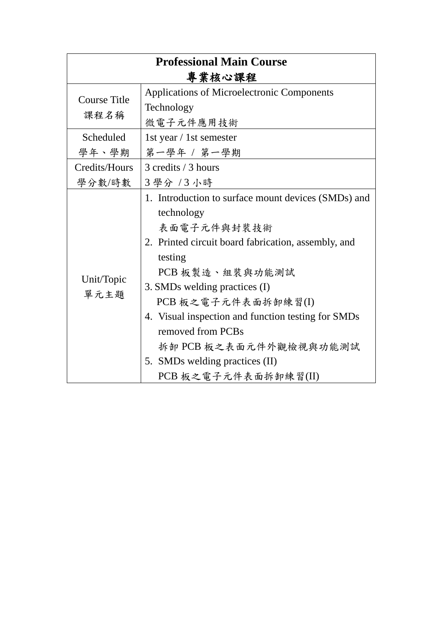| <b>Professional Main Course</b> |                                                     |  |
|---------------------------------|-----------------------------------------------------|--|
| 專業核心課程                          |                                                     |  |
| <b>Course Title</b>             | Applications of Microelectronic Components          |  |
|                                 | Technology                                          |  |
| 課程名稱                            | 微電子元件應用技術                                           |  |
| Scheduled                       | 1st year / 1st semester                             |  |
| 學年、學期                           | 第一學年 / 第一學期                                         |  |
| Credits/Hours                   | 3 credits / 3 hours                                 |  |
| 學分數/時數                          | 3學分 /3小時                                            |  |
|                                 | 1. Introduction to surface mount devices (SMDs) and |  |
|                                 | technology                                          |  |
|                                 | 表面電子元件與封裝技術                                         |  |
|                                 | 2. Printed circuit board fabrication, assembly, and |  |
|                                 | testing                                             |  |
|                                 | PCB板製造、組裝與功能測試                                      |  |
| Unit/Topic<br>單元主題              | 3. SMDs welding practices (I)                       |  |
|                                 | PCB 板之電子元件表面拆卸練習(I)                                 |  |
|                                 | 4. Visual inspection and function testing for SMDs  |  |
|                                 | removed from PCBs                                   |  |
|                                 | 拆卸 PCB 板之表面元件外觀檢視與功能測試                              |  |
|                                 | 5. SMDs welding practices (II)                      |  |
|                                 | PCB 板之電子元件表面拆卸練習(II)                                |  |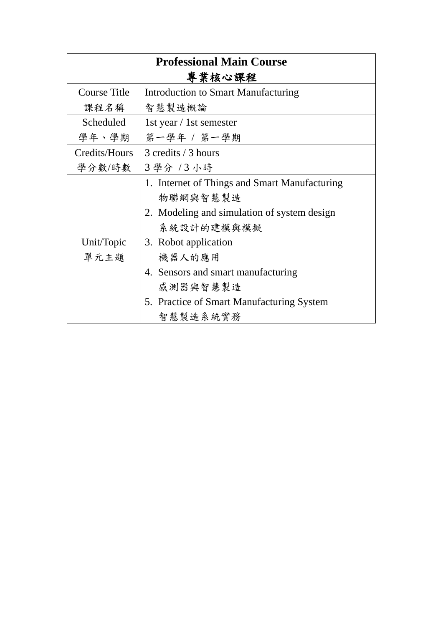| <b>Professional Main Course</b> |                                               |
|---------------------------------|-----------------------------------------------|
| 專業核心課程                          |                                               |
| <b>Course Title</b>             | Introduction to Smart Manufacturing           |
| 课程名稱                            | 智慧製造概論                                        |
| Scheduled                       | 1st year / 1st semester                       |
| 學年、學期                           | 第一學年 / 第一學期                                   |
| Credits/Hours                   | 3 credits / 3 hours                           |
| 學分數/時數                          | 3 學分 / 3 小時                                   |
|                                 | 1. Internet of Things and Smart Manufacturing |
|                                 | 物聯網與智慧製造                                      |
|                                 | 2. Modeling and simulation of system design   |
|                                 | 系統設計的建模與模擬                                    |
| Unit/Topic                      | 3. Robot application                          |
| 單元主題                            | 機器人的應用                                        |
|                                 | 4. Sensors and smart manufacturing            |
|                                 | 感測器與智慧製造                                      |
|                                 | 5. Practice of Smart Manufacturing System     |
|                                 | 智慧製造系統實務                                      |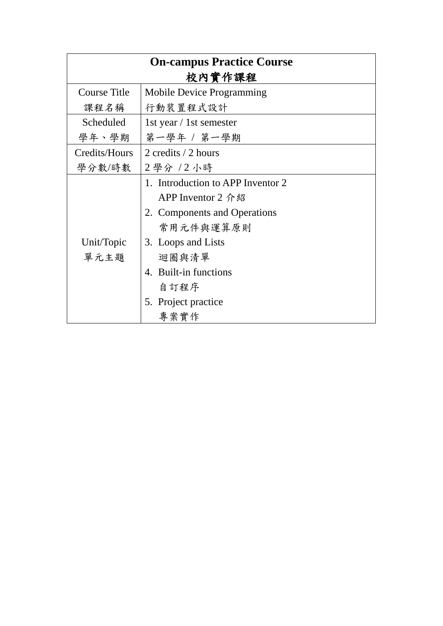| <b>On-campus Practice Course</b> |                                   |  |
|----------------------------------|-----------------------------------|--|
| 校內實作課程                           |                                   |  |
| Course Title                     | <b>Mobile Device Programming</b>  |  |
| 课程名稱                             | 行動裝置程式設計                          |  |
| Scheduled                        | 1st year / 1st semester           |  |
| 學年、學期                            | 第一學年 / 第一學期                       |  |
| Credits/Hours                    | 2 credits / 2 hours               |  |
| 學分數/時數                           | 2學分 / 2 小時                        |  |
|                                  | 1. Introduction to APP Inventor 2 |  |
|                                  | APP Inventor 2 介紹                 |  |
|                                  | 2. Components and Operations      |  |
|                                  | 常用元件與運算原則                         |  |
| Unit/Topic                       | 3. Loops and Lists                |  |
| 單元主題                             | 迴圈與清單                             |  |
|                                  | 4. Built-in functions             |  |
|                                  | 自訂程序                              |  |
|                                  | 5. Project practice               |  |
|                                  | 專案實作                              |  |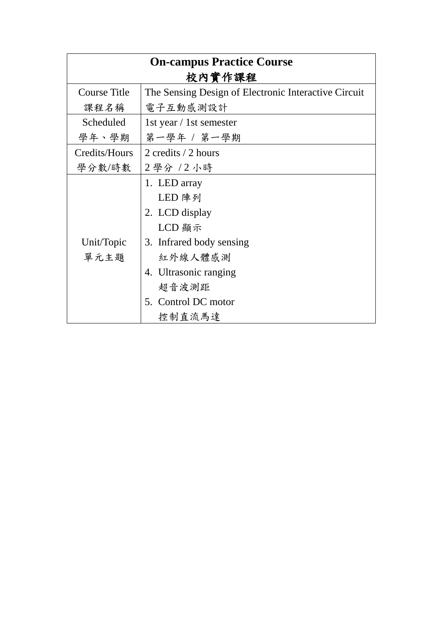| <b>On-campus Practice Course</b> |                                                      |  |
|----------------------------------|------------------------------------------------------|--|
| 校內實作課程                           |                                                      |  |
| <b>Course Title</b>              | The Sensing Design of Electronic Interactive Circuit |  |
| 课程名稱                             | 電子互動感測設計                                             |  |
| Scheduled                        | 1st year / 1st semester                              |  |
| 學年、學期                            | 第一學年 / 第一學期                                          |  |
| Credits/Hours                    | 2 credits / 2 hours                                  |  |
| 學分數/時數                           | 2 學分 / 2 小時                                          |  |
|                                  | 1. LED array                                         |  |
|                                  | LED 陣列                                               |  |
|                                  | 2. LCD display                                       |  |
|                                  | LCD 顯示                                               |  |
| Unit/Topic                       | 3. Infrared body sensing                             |  |
| 單元主題                             | 紅外線人體感測                                              |  |
|                                  | 4. Ultrasonic ranging                                |  |
|                                  | 超音波測距                                                |  |
|                                  | 5. Control DC motor                                  |  |
|                                  | 控制直流馬達                                               |  |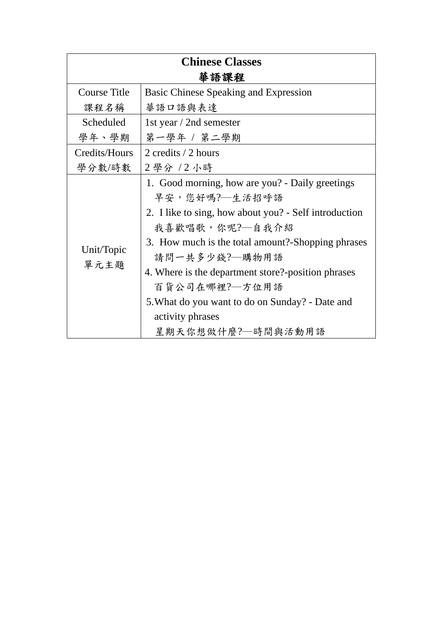| <b>Chinese Classes</b> |                                                                                                                                                                                                                                                                                                                                                                                       |  |
|------------------------|---------------------------------------------------------------------------------------------------------------------------------------------------------------------------------------------------------------------------------------------------------------------------------------------------------------------------------------------------------------------------------------|--|
| 華語課程                   |                                                                                                                                                                                                                                                                                                                                                                                       |  |
| <b>Course Title</b>    | Basic Chinese Speaking and Expression                                                                                                                                                                                                                                                                                                                                                 |  |
| 课程名稱                   | 華語口語與表達                                                                                                                                                                                                                                                                                                                                                                               |  |
| Scheduled              | 1st year / 2nd semester                                                                                                                                                                                                                                                                                                                                                               |  |
| 學年、學期                  | 第一學年 / 第二學期                                                                                                                                                                                                                                                                                                                                                                           |  |
| Credits/Hours          | 2 credits / 2 hours                                                                                                                                                                                                                                                                                                                                                                   |  |
| 學分數/時數                 | 2 學分 / 2 小時                                                                                                                                                                                                                                                                                                                                                                           |  |
| Unit/Topic<br>單元主題     | 1. Good morning, how are you? - Daily greetings<br>早安,您好嗎? 一生活招呼語<br>2. I like to sing, how about you? - Self introduction<br>我喜歡唱歌,你呢?—自我介紹<br>3. How much is the total amount?-Shopping phrases<br>請問一共多少錢?—購物用語<br>4. Where is the department store?-position phrases<br>百貨公司在哪裡?—方位用語<br>5. What do you want to do on Sunday? - Date and<br>activity phrases<br>星期天你想做什麼?—時間與活動用語 |  |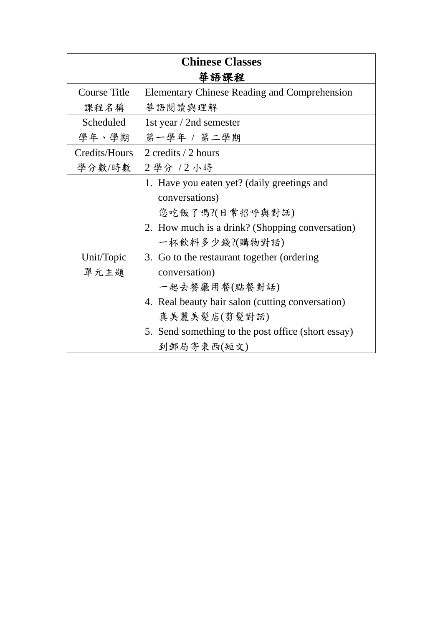| <b>Chinese Classes</b> |                                                                                                                                                                                                                                                                                                                                                                               |
|------------------------|-------------------------------------------------------------------------------------------------------------------------------------------------------------------------------------------------------------------------------------------------------------------------------------------------------------------------------------------------------------------------------|
| 華語課程                   |                                                                                                                                                                                                                                                                                                                                                                               |
| Course Title           | <b>Elementary Chinese Reading and Comprehension</b>                                                                                                                                                                                                                                                                                                                           |
| 课程名稱                   | 華語閱讀與理解                                                                                                                                                                                                                                                                                                                                                                       |
| <b>Scheduled</b>       | 1st year / 2nd semester                                                                                                                                                                                                                                                                                                                                                       |
| 學年、學期                  | 第一學年 / 第二學期                                                                                                                                                                                                                                                                                                                                                                   |
| Credits/Hours          | 2 credits / 2 hours                                                                                                                                                                                                                                                                                                                                                           |
| 學分數/時數                 | 2學分 / 2 小時                                                                                                                                                                                                                                                                                                                                                                    |
| Unit/Topic<br>單元主題     | 1. Have you eaten yet? (daily greetings and<br>conversations)<br>您吃飯了嗎?(日常招呼與對話)<br>2. How much is a drink? (Shopping conversation)<br>一杯飲料多少錢?(購物對話)<br>3. Go to the restaurant together (ordering<br>conversation)<br>一起去餐廳用餐(點餐對話)<br>4. Real beauty hair salon (cutting conversation)<br>真美麗美髮店(剪髮對話)<br>5. Send something to the post office (short essay)<br>到郵局寄東西(短文) |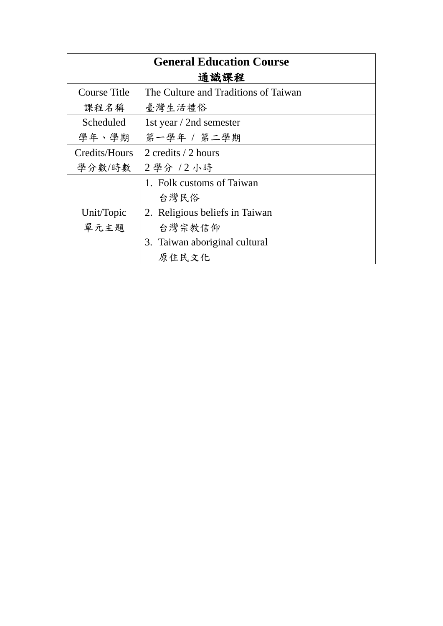| <b>General Education Course</b> |                                      |
|---------------------------------|--------------------------------------|
| 通識課程                            |                                      |
| Course Title                    | The Culture and Traditions of Taiwan |
| 课程名稱                            | 臺灣生活禮俗                               |
| Scheduled                       | 1st year / 2nd semester              |
| 學年、學期                           | 第一學年 / 第二學期                          |
| Credits/Hours                   | 2 credits / 2 hours                  |
| 學分數/時數                          | 2學分 / 2 小時                           |
|                                 | 1. Folk customs of Taiwan            |
|                                 | 台灣民俗                                 |
| Unit/Topic                      | 2. Religious beliefs in Taiwan       |
| 單元主題                            | 台灣宗教信仰                               |
|                                 | 3. Taiwan aboriginal cultural        |
|                                 | 原住民文化                                |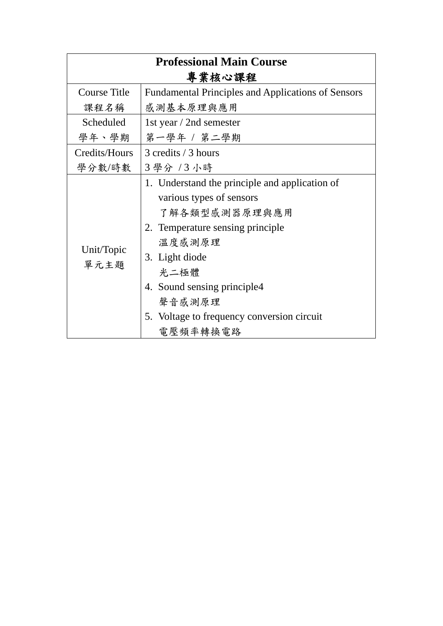| <b>Professional Main Course</b> |                                                                                                                                                                                                                                                            |  |
|---------------------------------|------------------------------------------------------------------------------------------------------------------------------------------------------------------------------------------------------------------------------------------------------------|--|
| 專業核心課程                          |                                                                                                                                                                                                                                                            |  |
| Course Title                    | <b>Fundamental Principles and Applications of Sensors</b>                                                                                                                                                                                                  |  |
| 課程名稱                            | 感測基本原理與應用                                                                                                                                                                                                                                                  |  |
| Scheduled                       | 1st year / 2nd semester                                                                                                                                                                                                                                    |  |
| 學年、學期                           | 第一學年 / 第二學期                                                                                                                                                                                                                                                |  |
| Credits/Hours                   | 3 credits / 3 hours                                                                                                                                                                                                                                        |  |
| 學分數/時數                          | 3 學分 / 3 小時                                                                                                                                                                                                                                                |  |
| Unit/Topic<br>單元主題              | 1. Understand the principle and application of<br>various types of sensors<br>了解各類型感測器原理與應用<br>2. Temperature sensing principle<br>溫度感測原理<br>3. Light diode<br>光二極體<br>4. Sound sensing principle4<br>聲音感測原理<br>5. Voltage to frequency conversion circuit |  |
|                                 | 電壓頻率轉換電路                                                                                                                                                                                                                                                   |  |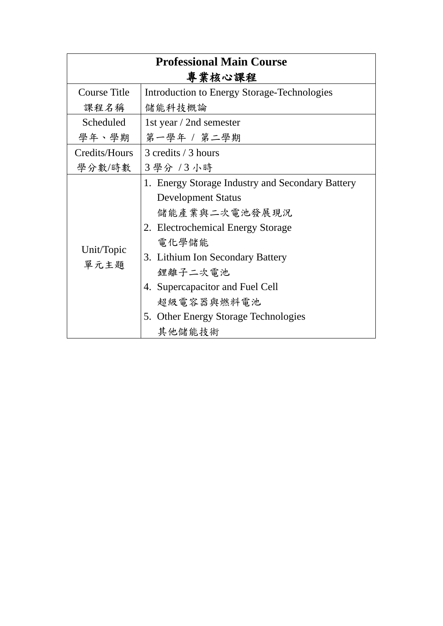| <b>Professional Main Course</b> |                                                                                                                                                                                                                                                                                                |  |
|---------------------------------|------------------------------------------------------------------------------------------------------------------------------------------------------------------------------------------------------------------------------------------------------------------------------------------------|--|
| 專業核心課程                          |                                                                                                                                                                                                                                                                                                |  |
| <b>Course Title</b>             | <b>Introduction to Energy Storage-Technologies</b>                                                                                                                                                                                                                                             |  |
| 课程名稱                            | 儲能科技概論                                                                                                                                                                                                                                                                                         |  |
| Scheduled                       | 1st year / 2nd semester                                                                                                                                                                                                                                                                        |  |
| 學年、學期                           | 第一學年 / 第二學期                                                                                                                                                                                                                                                                                    |  |
| Credits/Hours                   | 3 credits / 3 hours                                                                                                                                                                                                                                                                            |  |
| 學分數/時數                          | 3 學分 / 3 小時                                                                                                                                                                                                                                                                                    |  |
| Unit/Topic<br>單元主題              | 1. Energy Storage Industry and Secondary Battery<br><b>Development Status</b><br>儲能產業與二次電池發展現況<br>2. Electrochemical Energy Storage<br>電化學儲能<br>3. Lithium Ion Secondary Battery<br>鋰離子二次電池<br>4. Supercapacitor and Fuel Cell<br>超級電容器與燃料電池<br>5. Other Energy Storage Technologies<br>其他儲能技術 |  |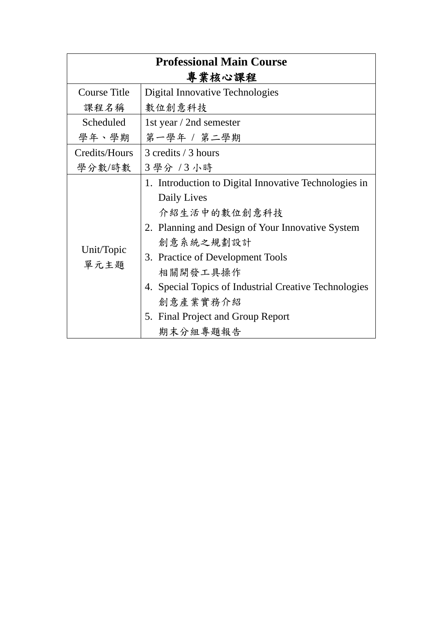| <b>Professional Main Course</b> |                                                                                                                                                                                                                                                                                                                             |  |
|---------------------------------|-----------------------------------------------------------------------------------------------------------------------------------------------------------------------------------------------------------------------------------------------------------------------------------------------------------------------------|--|
| 專業核心課程                          |                                                                                                                                                                                                                                                                                                                             |  |
| <b>Course Title</b>             | Digital Innovative Technologies                                                                                                                                                                                                                                                                                             |  |
| 课程名稱                            | 數位創意科技                                                                                                                                                                                                                                                                                                                      |  |
| Scheduled                       | 1st year / 2nd semester                                                                                                                                                                                                                                                                                                     |  |
| 學年、學期                           | 第一學年 / 第二學期                                                                                                                                                                                                                                                                                                                 |  |
| Credits/Hours                   | 3 credits / 3 hours                                                                                                                                                                                                                                                                                                         |  |
| 學分數/時數                          | 3 學分 / 3 小時                                                                                                                                                                                                                                                                                                                 |  |
| Unit/Topic<br>單元主題              | 1. Introduction to Digital Innovative Technologies in<br>Daily Lives<br>介紹生活中的數位創意科技<br>2. Planning and Design of Your Innovative System<br>創意系統之規劃設計<br>3. Practice of Development Tools<br>相關開發工具操作<br>4. Special Topics of Industrial Creative Technologies<br>創意產業實務介紹<br>5. Final Project and Group Report<br>期末分組專題報告 |  |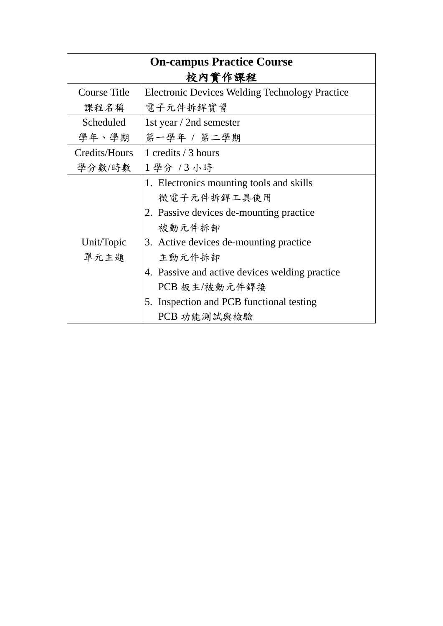| <b>On-campus Practice Course</b> |                                                       |  |
|----------------------------------|-------------------------------------------------------|--|
| 校內實作課程                           |                                                       |  |
| <b>Course Title</b>              | <b>Electronic Devices Welding Technology Practice</b> |  |
| 课程名稱                             | 電子元件拆銲實習                                              |  |
| Scheduled                        | 1st year / 2nd semester                               |  |
| 學年、學期                            | 第一學年 / 第二學期                                           |  |
| Credits/Hours                    | 1 credits / 3 hours                                   |  |
| 學分數/時數                           | 1學分 /3小時                                              |  |
|                                  | 1. Electronics mounting tools and skills              |  |
|                                  | 微電子元件拆銲工具使用                                           |  |
|                                  | 2. Passive devices de-mounting practice               |  |
|                                  | 被動元件拆卸                                                |  |
| Unit/Topic                       | 3. Active devices de-mounting practice                |  |
| 單元主題                             | 主動元件拆卸                                                |  |
|                                  | 4. Passive and active devices welding practice        |  |
|                                  | PCB 板主/被動元件銲接                                         |  |
|                                  | 5. Inspection and PCB functional testing              |  |
|                                  | PCB 功能測試與檢驗                                           |  |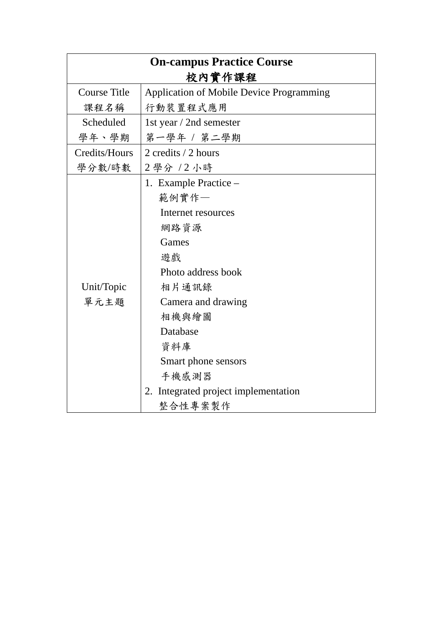| <b>On-campus Practice Course</b> |                                                 |
|----------------------------------|-------------------------------------------------|
|                                  | 校內實作課程                                          |
| Course Title                     | <b>Application of Mobile Device Programming</b> |
| 课程名稱                             | 行動裝置程式應用                                        |
| Scheduled                        | 1st year / 2nd semester                         |
| 學年、學期                            | 第一學年 / 第二學期                                     |
| Credits/Hours                    | 2 credits / 2 hours                             |
| 學分數/時數                           | 2學分 / 2 小時                                      |
|                                  | 1. Example Practice –                           |
|                                  | 範例實作一                                           |
|                                  | Internet resources                              |
|                                  | 網路資源                                            |
|                                  | Games                                           |
|                                  | 遊戲                                              |
|                                  | Photo address book                              |
| Unit/Topic                       | 相片通訊錄                                           |
| 單元主題                             | Camera and drawing                              |
|                                  | 相機與繪圖                                           |
|                                  | Database                                        |
|                                  | 資料庫                                             |
|                                  | Smart phone sensors                             |
|                                  | 手機感測器                                           |
|                                  | 2. Integrated project implementation            |
|                                  | 整合性專案製作                                         |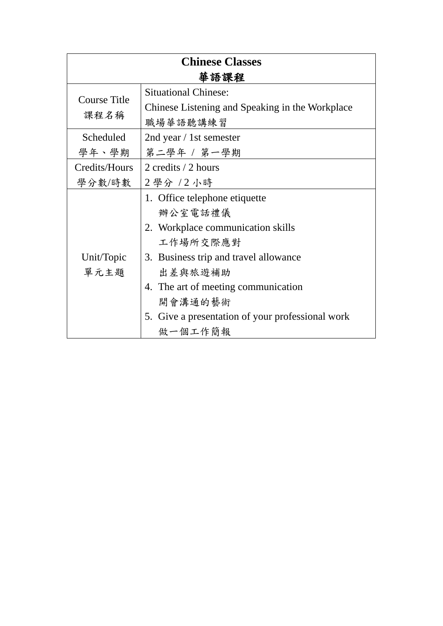| <b>Chinese Classes</b> |                                                  |
|------------------------|--------------------------------------------------|
|                        | 華語課程                                             |
| <b>Course Title</b>    | <b>Situational Chinese:</b>                      |
|                        | Chinese Listening and Speaking in the Workplace  |
| 课程名稱                   | 職場華語聽講練習                                         |
| Scheduled              | 2nd year / 1st semester                          |
| 學年、學期                  | 第二學年 / 第一學期                                      |
| Credits/Hours          | 2 credits / 2 hours                              |
| 學分數/時數                 | 2 學分 / 2 小時                                      |
|                        | 1. Office telephone etiquette                    |
|                        | 辦公室電話禮儀                                          |
|                        | 2. Workplace communication skills                |
|                        | 工作場所交際應對                                         |
| Unit/Topic             | 3. Business trip and travel allowance            |
| 單元主題                   | 出差與旅遊補助                                          |
|                        | 4. The art of meeting communication              |
|                        | 開會溝通的藝術                                          |
|                        | 5. Give a presentation of your professional work |
|                        | 做一個工作簡報                                          |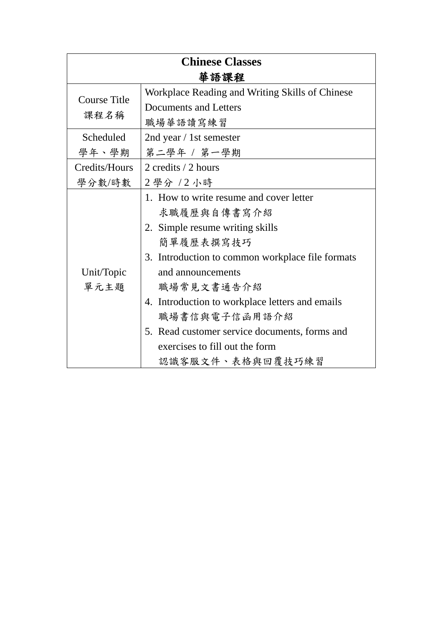| <b>Chinese Classes</b> |                                                  |
|------------------------|--------------------------------------------------|
|                        | 華語課程                                             |
| <b>Course Title</b>    | Workplace Reading and Writing Skills of Chinese  |
|                        | <b>Documents and Letters</b>                     |
| 課程名稱                   | 職場華語讀寫練習                                         |
| Scheduled              | 2nd year / 1st semester                          |
| 學年、學期                  | 第二學年 / 第一學期                                      |
| Credits/Hours          | 2 credits / 2 hours                              |
| 學分數/時數                 | 2學分 /2小時                                         |
|                        | 1. How to write resume and cover letter          |
|                        | 求職履歷與自傳書寫介紹                                      |
|                        | 2. Simple resume writing skills                  |
|                        | 簡單履歷表撰寫技巧                                        |
|                        | 3. Introduction to common workplace file formats |
| Unit/Topic             | and announcements                                |
| 單元主題                   | 職場常見文書通告介紹                                       |
|                        | 4. Introduction to workplace letters and emails  |
|                        | 職場書信與電子信函用語介紹                                    |
|                        | 5. Read customer service documents, forms and    |
|                        | exercises to fill out the form                   |
|                        | 認識客服文件、表格與回覆技巧練習                                 |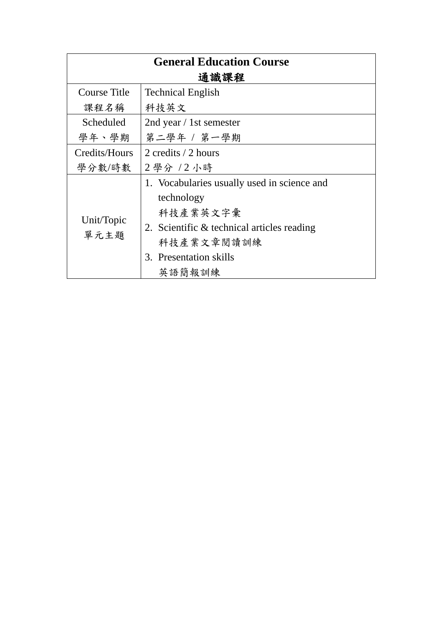| <b>General Education Course</b> |                                             |  |
|---------------------------------|---------------------------------------------|--|
| 通識課程                            |                                             |  |
| <b>Course Title</b>             | <b>Technical English</b>                    |  |
| 课程名稱                            | 科技英文                                        |  |
| Scheduled                       | 2nd year / 1st semester                     |  |
| 學年、學期                           | 第二學年 / 第一學期                                 |  |
| Credits/Hours                   | 2 credits / 2 hours                         |  |
| 學分數/時數                          | 2學分 / 2 小時                                  |  |
|                                 | 1. Vocabularies usually used in science and |  |
|                                 | technology                                  |  |
|                                 | 科技產業英文字彙                                    |  |
| Unit/Topic<br>單元主題              | 2. Scientific & technical articles reading  |  |
|                                 | 科技產業文章閱讀訓練                                  |  |
|                                 | 3. Presentation skills                      |  |
|                                 | 英語簡報訓練                                      |  |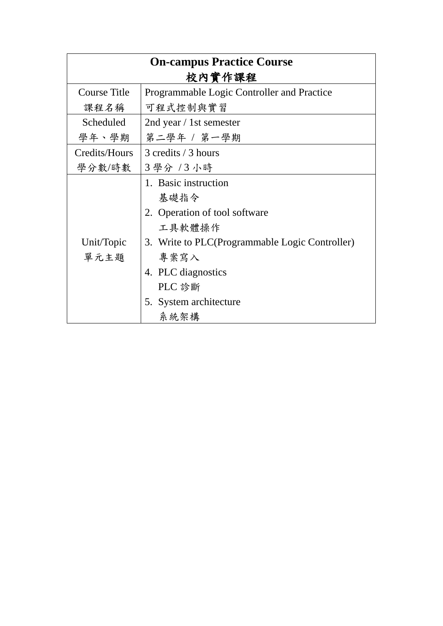| <b>On-campus Practice Course</b> |                                                |
|----------------------------------|------------------------------------------------|
|                                  | 校內實作課程                                         |
| Course Title                     | Programmable Logic Controller and Practice     |
| 课程名稱                             | 可程式控制與實習                                       |
| Scheduled                        | 2nd year / 1st semester                        |
| 學年、學期                            | 第二學年 / 第一學期                                    |
| Credits/Hours                    | 3 credits / 3 hours                            |
| 學分數/時數                           | 3 學分 / 3 小時                                    |
|                                  | 1. Basic instruction                           |
|                                  | 基礎指令                                           |
|                                  | 2. Operation of tool software                  |
|                                  | 工具軟體操作                                         |
| Unit/Topic                       | 3. Write to PLC(Programmable Logic Controller) |
| 單元主題                             | 專案寫入                                           |
|                                  | 4. PLC diagnostics                             |
|                                  | PLC 診斷                                         |
|                                  | 5. System architecture                         |
|                                  | 系統架構                                           |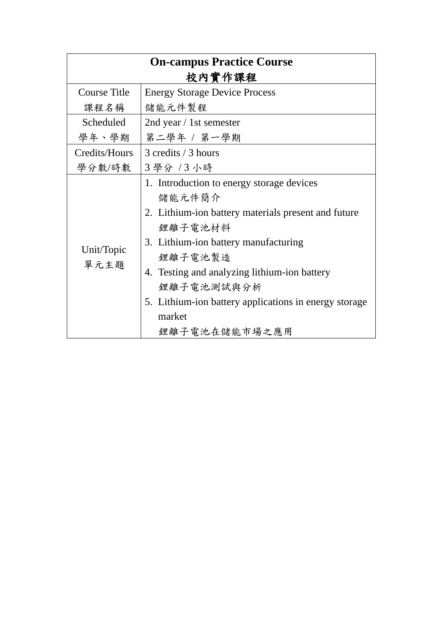| <b>On-campus Practice Course</b> |                                                                                                                                                                                                                                                                                                                            |
|----------------------------------|----------------------------------------------------------------------------------------------------------------------------------------------------------------------------------------------------------------------------------------------------------------------------------------------------------------------------|
|                                  | 校內實作課程                                                                                                                                                                                                                                                                                                                     |
| <b>Course Title</b>              | <b>Energy Storage Device Process</b>                                                                                                                                                                                                                                                                                       |
| 課程名稱                             | 储能元件製程                                                                                                                                                                                                                                                                                                                     |
| Scheduled                        | 2nd year / 1st semester                                                                                                                                                                                                                                                                                                    |
| 學年、學期                            | 第二學年 / 第一學期                                                                                                                                                                                                                                                                                                                |
| Credits/Hours                    | 3 credits / 3 hours                                                                                                                                                                                                                                                                                                        |
| 學分數/時數                           | 3學分 /3小時                                                                                                                                                                                                                                                                                                                   |
| Unit/Topic<br>單元主題               | 1. Introduction to energy storage devices<br>儲能元件簡介<br>2. Lithium-ion battery materials present and future<br>鋰離子電池材料<br>3. Lithium-ion battery manufacturing<br>鋰離子電池製造<br>4. Testing and analyzing lithium-ion battery<br>鋰離子電池測試與分析<br>5. Lithium-ion battery applications in energy storage<br>market<br>鋰離子電池在儲能市場之應用 |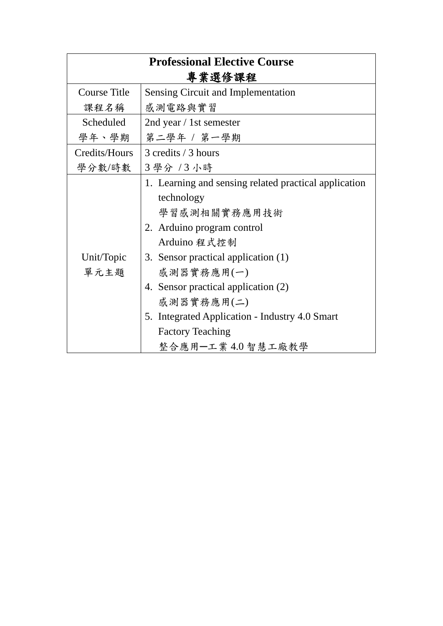| <b>Professional Elective Course</b> |                                                                                                                                                                                                                                                                                               |
|-------------------------------------|-----------------------------------------------------------------------------------------------------------------------------------------------------------------------------------------------------------------------------------------------------------------------------------------------|
|                                     | 專業選修課程                                                                                                                                                                                                                                                                                        |
| <b>Course Title</b>                 | <b>Sensing Circuit and Implementation</b>                                                                                                                                                                                                                                                     |
| 课程名稱                                | 感測電路與實習                                                                                                                                                                                                                                                                                       |
| Scheduled                           | 2nd year / 1st semester                                                                                                                                                                                                                                                                       |
| 學年、學期                               | 第二學年 / 第一學期                                                                                                                                                                                                                                                                                   |
| Credits/Hours                       | 3 credits / 3 hours                                                                                                                                                                                                                                                                           |
| 學分數/時數                              | 3學分 /3小時                                                                                                                                                                                                                                                                                      |
| Unit/Topic<br>單元主題                  | 1. Learning and sensing related practical application<br>technology<br>學習感測相關實務應用技術<br>2. Arduino program control<br>Arduino 程式控制<br>3. Sensor practical application (1)<br>感測器實務應用(一)<br>4. Sensor practical application (2)<br>感測器實務應用(二)<br>5. Integrated Application - Industry 4.0 Smart |
|                                     | <b>Factory Teaching</b><br>整合應用-工業4.0 智慧工廠教學                                                                                                                                                                                                                                                  |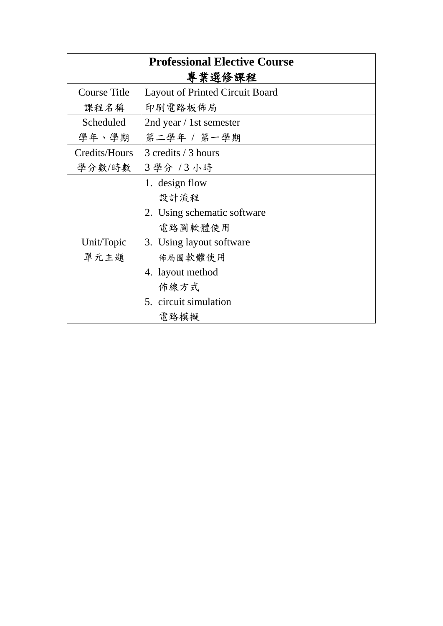| <b>Professional Elective Course</b> |                                        |
|-------------------------------------|----------------------------------------|
|                                     | 專業選修課程                                 |
| <b>Course Title</b>                 | <b>Layout of Printed Circuit Board</b> |
| 课程名稱                                | 印刷電路板佈局                                |
| Scheduled                           | 2nd year / 1st semester                |
| 學年、學期                               | 第二學年 / 第一學期                            |
| Credits/Hours                       | 3 credits / 3 hours                    |
| 學分數/時數                              | 3學分 /3小時                               |
|                                     | 1. design flow                         |
|                                     | 設計流程                                   |
|                                     | 2. Using schematic software            |
|                                     | 電路圖軟體使用                                |
| Unit/Topic                          | 3. Using layout software               |
| 單元主題                                | 佈局圖軟體使用                                |
|                                     | 4. layout method                       |
|                                     | 佈線方式                                   |
|                                     | 5. circuit simulation                  |
|                                     | 電路模擬                                   |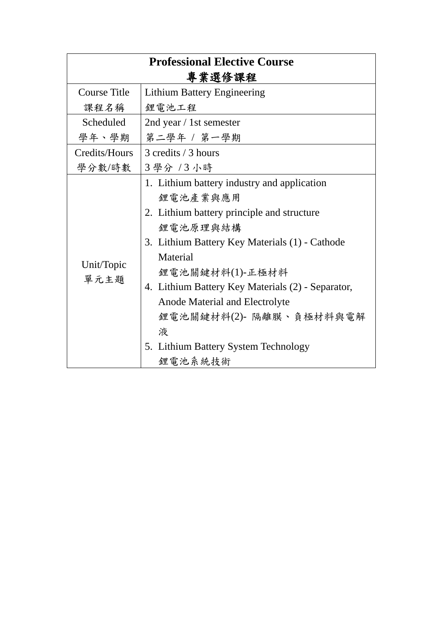| <b>Professional Elective Course</b> |                                                                                                                                                                                                                                                                                                                                                                              |
|-------------------------------------|------------------------------------------------------------------------------------------------------------------------------------------------------------------------------------------------------------------------------------------------------------------------------------------------------------------------------------------------------------------------------|
|                                     | 專業選修課程                                                                                                                                                                                                                                                                                                                                                                       |
| <b>Course Title</b>                 | <b>Lithium Battery Engineering</b>                                                                                                                                                                                                                                                                                                                                           |
| 课程名稱                                | 鋰電池工程                                                                                                                                                                                                                                                                                                                                                                        |
| <b>Scheduled</b>                    | 2nd year / 1st semester                                                                                                                                                                                                                                                                                                                                                      |
| 學年、學期                               | 第二學年 / 第一學期                                                                                                                                                                                                                                                                                                                                                                  |
| Credits/Hours                       | 3 credits / 3 hours                                                                                                                                                                                                                                                                                                                                                          |
| 學分數/時數                              | 3學分 /3小時                                                                                                                                                                                                                                                                                                                                                                     |
| Unit/Topic<br>單元主題                  | 1. Lithium battery industry and application<br>鋰電池產業與應用<br>2. Lithium battery principle and structure<br>鋰電池原理與結構<br>3. Lithium Battery Key Materials (1) - Cathode<br>Material<br>鋰電池關鍵材料(1)-正極材料<br>4. Lithium Battery Key Materials (2) - Separator,<br>Anode Material and Electrolyte<br>鋰電池關鍵材料(2)- 隔離膜、負極材料與電解<br>液<br>5. Lithium Battery System Technology<br>鋰電池系統技術 |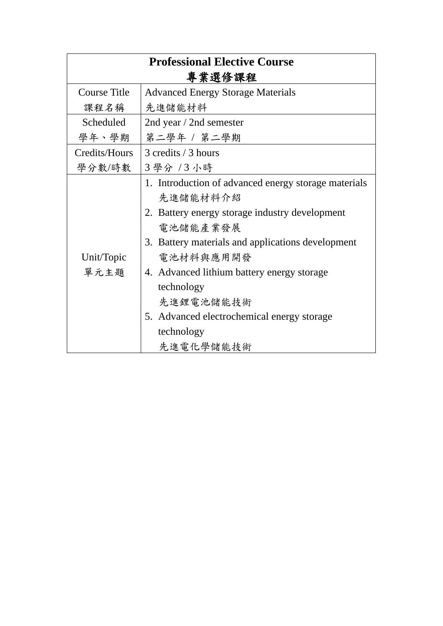| <b>Professional Elective Course</b><br>專業選修課程 |                                                                                                                                                                                                                                                                                                                                                    |
|-----------------------------------------------|----------------------------------------------------------------------------------------------------------------------------------------------------------------------------------------------------------------------------------------------------------------------------------------------------------------------------------------------------|
| <b>Course Title</b>                           | <b>Advanced Energy Storage Materials</b>                                                                                                                                                                                                                                                                                                           |
| 课程名稱                                          | 先進儲能材料                                                                                                                                                                                                                                                                                                                                             |
| Scheduled                                     | 2nd year / 2nd semester                                                                                                                                                                                                                                                                                                                            |
| 學年、學期                                         | 第二學年 / 第二學期                                                                                                                                                                                                                                                                                                                                        |
| Credits/Hours                                 | 3 credits / 3 hours                                                                                                                                                                                                                                                                                                                                |
| 學分數/時數                                        | 3 學分 /3 小時                                                                                                                                                                                                                                                                                                                                         |
| Unit/Topic<br>單元主題                            | 1. Introduction of advanced energy storage materials<br>先進儲能材料介紹<br>2. Battery energy storage industry development<br>電池儲能產業發展<br>3. Battery materials and applications development<br>電池材料與應用開發<br>4. Advanced lithium battery energy storage<br>technology<br>先進鋰電池儲能技術<br>5. Advanced electrochemical energy storage<br>technology<br>先進電化學儲能技術 |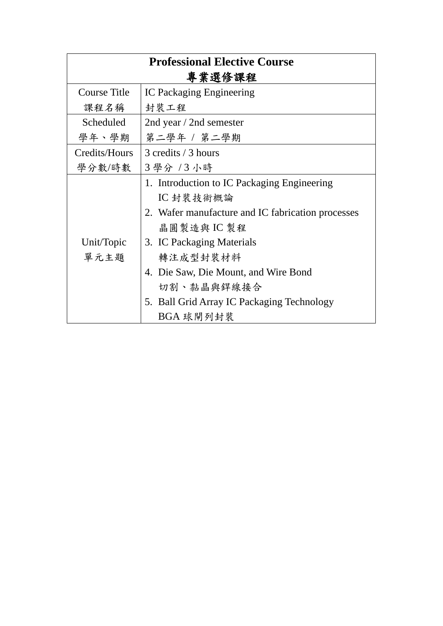| <b>Professional Elective Course</b> |                                                   |  |
|-------------------------------------|---------------------------------------------------|--|
| 專業選修課程                              |                                                   |  |
| <b>Course Title</b>                 | <b>IC Packaging Engineering</b>                   |  |
| 课程名稱                                | 封裝工程                                              |  |
| Scheduled                           | 2nd year / 2nd semester                           |  |
| 學年、學期                               | 第二學年 / 第二學期                                       |  |
| Credits/Hours                       | 3 credits / 3 hours                               |  |
| 學分數/時數                              | 3 學分 /3 小時                                        |  |
|                                     | 1. Introduction to IC Packaging Engineering       |  |
|                                     | IC 封裝技術概論                                         |  |
|                                     | 2. Wafer manufacture and IC fabrication processes |  |
| Unit/Topic<br>單元主題                  | 晶圓製造與IC製程                                         |  |
|                                     | 3. IC Packaging Materials                         |  |
|                                     | 轉注成型封裝材料                                          |  |
|                                     | 4. Die Saw, Die Mount, and Wire Bond              |  |
|                                     | 切割、黏晶與銲線接合                                        |  |
|                                     | 5. Ball Grid Array IC Packaging Technology        |  |
|                                     | BGA 球閘列封裝                                         |  |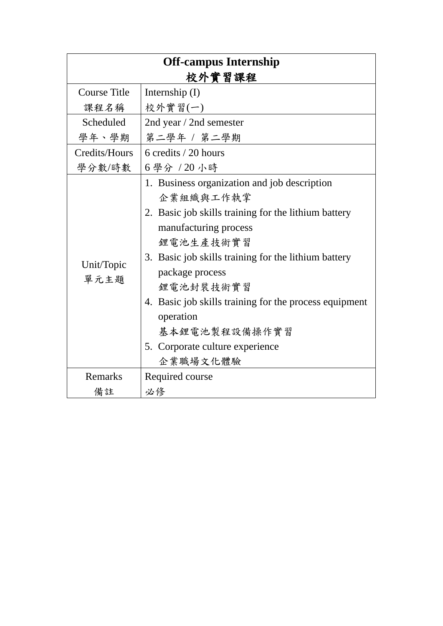| <b>Off-campus Internship</b> |                                                        |  |
|------------------------------|--------------------------------------------------------|--|
| 校外實習課程                       |                                                        |  |
| <b>Course Title</b>          | Internship $(I)$                                       |  |
| 课程名稱                         | 校外實習(一)                                                |  |
| Scheduled                    | 2nd year / 2nd semester                                |  |
| 學年、學期                        | 第二學年 / 第二學期                                            |  |
| Credits/Hours                | 6 credits / 20 hours                                   |  |
| 學分數/時數                       | 6學分 / 20 小時                                            |  |
|                              | 1. Business organization and job description           |  |
|                              | 企業組織與工作執掌                                              |  |
|                              | 2. Basic job skills training for the lithium battery   |  |
|                              | manufacturing process                                  |  |
|                              | 鋰電池生產技術實習                                              |  |
| Unit/Topic                   | 3. Basic job skills training for the lithium battery   |  |
| 單元主題                         | package process                                        |  |
|                              | 鋰電池封裝技術實習                                              |  |
|                              | 4. Basic job skills training for the process equipment |  |
|                              | operation                                              |  |
|                              | 基本鋰電池製程設備操作實習                                          |  |
|                              | 5. Corporate culture experience                        |  |
|                              | 企業職場文化體驗                                               |  |
| Remarks                      | Required course                                        |  |
| 備註                           | 必修                                                     |  |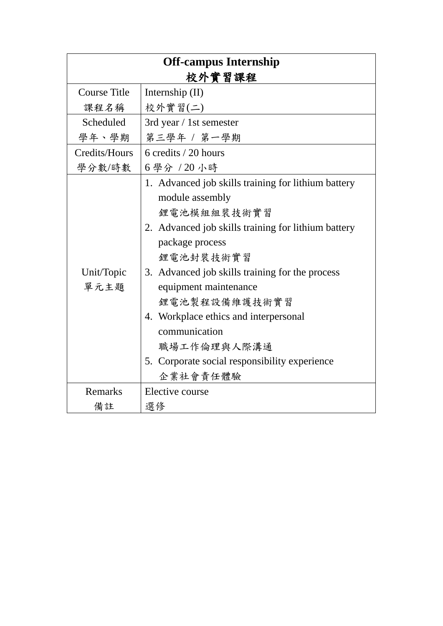| <b>Off-campus Internship</b> |                                                     |
|------------------------------|-----------------------------------------------------|
| 校外實習課程                       |                                                     |
| <b>Course Title</b>          | Internship $(II)$                                   |
| 课程名稱                         | 校外實習(二)                                             |
| Scheduled                    | 3rd year / 1st semester                             |
| 學年、學期                        | 第三學年 / 第一學期                                         |
| Credits/Hours                | 6 credits / 20 hours                                |
| 學分數/時數                       | 6學分 / 20 小時                                         |
|                              | 1. Advanced job skills training for lithium battery |
|                              | module assembly                                     |
|                              | 鋰電池模組組裝技術實習                                         |
|                              | 2. Advanced job skills training for lithium battery |
|                              | package process                                     |
|                              | 鋰電池封裝技術實習                                           |
| Unit/Topic                   | 3. Advanced job skills training for the process     |
| 單元主題                         | equipment maintenance                               |
|                              | 鋰電池製程設備維護技術實習                                       |
|                              | 4. Workplace ethics and interpersonal               |
|                              | communication                                       |
|                              | 職場工作倫理與人際溝通                                         |
|                              | 5. Corporate social responsibility experience       |
|                              | 企業社會責任體驗                                            |
| Remarks                      | Elective course                                     |
| 備註                           | 選修                                                  |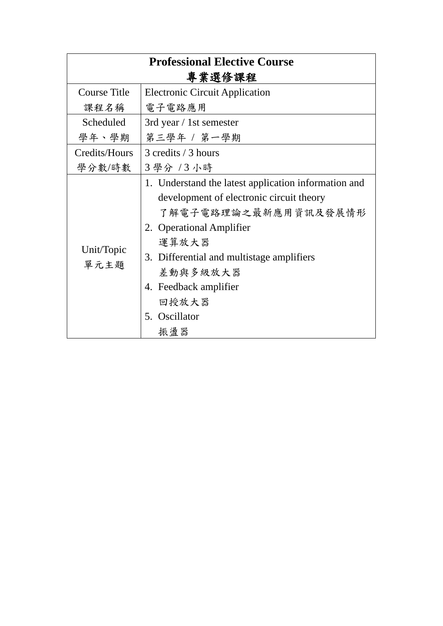| <b>Professional Elective Course</b> |                                                                                                                                                                                                                                                                                  |  |
|-------------------------------------|----------------------------------------------------------------------------------------------------------------------------------------------------------------------------------------------------------------------------------------------------------------------------------|--|
| 專業選修課程                              |                                                                                                                                                                                                                                                                                  |  |
| <b>Course Title</b>                 | <b>Electronic Circuit Application</b>                                                                                                                                                                                                                                            |  |
| 课程名稱                                | 電子電路應用                                                                                                                                                                                                                                                                           |  |
| Scheduled                           | 3rd year / 1st semester                                                                                                                                                                                                                                                          |  |
| 學年、學期                               | 第三學年 / 第一學期                                                                                                                                                                                                                                                                      |  |
| Credits/Hours                       | 3 credits / 3 hours                                                                                                                                                                                                                                                              |  |
| 學分數/時數                              | 3 學分 / 3 小時                                                                                                                                                                                                                                                                      |  |
| Unit/Topic<br>單元主題                  | 1. Understand the latest application information and<br>development of electronic circuit theory<br>了解電子電路理論之最新應用資訊及發展情形<br>2. Operational Amplifier<br>運算放大器<br>3. Differential and multistage amplifiers<br>差動與多級放大器<br>4. Feedback amplifier<br>回授放大器<br>5. Oscillator<br>振盪器 |  |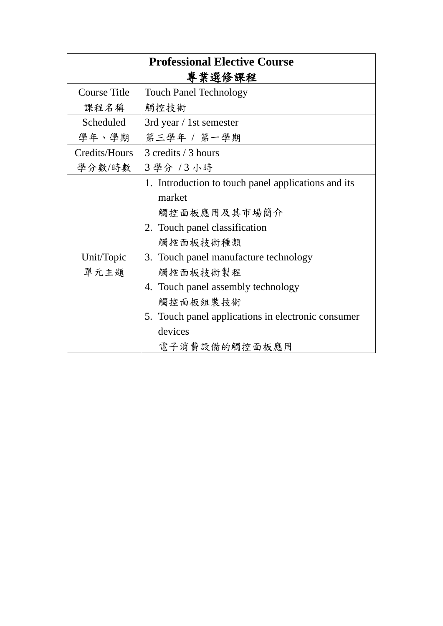| <b>Professional Elective Course</b><br>專業選修課程 |                                                                                                                                                                                                                                                                                                                     |
|-----------------------------------------------|---------------------------------------------------------------------------------------------------------------------------------------------------------------------------------------------------------------------------------------------------------------------------------------------------------------------|
| <b>Course Title</b>                           | <b>Touch Panel Technology</b>                                                                                                                                                                                                                                                                                       |
| 课程名稱                                          | 觸控技術                                                                                                                                                                                                                                                                                                                |
| Scheduled                                     | 3rd year / 1st semester                                                                                                                                                                                                                                                                                             |
| 學年、學期                                         | 第三學年 / 第一學期                                                                                                                                                                                                                                                                                                         |
| Credits/Hours                                 | 3 credits / 3 hours                                                                                                                                                                                                                                                                                                 |
| 學分數/時數                                        | 3 學分 /3 小時                                                                                                                                                                                                                                                                                                          |
| Unit/Topic<br>單元主題                            | 1. Introduction to touch panel applications and its<br>market<br>觸控面板應用及其市場簡介<br>2. Touch panel classification<br>觸控面板技術種類<br>3. Touch panel manufacture technology<br>觸控面板技術製程<br>4. Touch panel assembly technology<br>觸控面板組裝技術<br>5. Touch panel applications in electronic consumer<br>devices<br>電子消費設備的觸控面板應用 |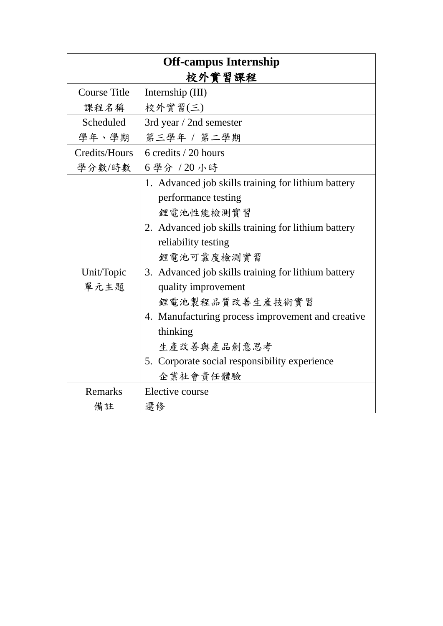| <b>Off-campus Internship</b> |                                                     |
|------------------------------|-----------------------------------------------------|
| 校外實習課程                       |                                                     |
| <b>Course Title</b>          | Internship (III)                                    |
| 课程名稱                         | 校外實習(三)                                             |
| Scheduled                    | 3rd year / 2nd semester                             |
| 學年、學期                        | 第三學年 / 第二學期                                         |
| Credits/Hours                | 6 credits / 20 hours                                |
| 學分數/時數                       | 6學分 / 20 小時                                         |
|                              | 1. Advanced job skills training for lithium battery |
|                              | performance testing                                 |
|                              | 鋰電池性能檢測實習                                           |
|                              | 2. Advanced job skills training for lithium battery |
|                              | reliability testing                                 |
|                              | 鋰電池可靠度檢測實習                                          |
| Unit/Topic                   | 3. Advanced job skills training for lithium battery |
| 單元主題                         | quality improvement                                 |
|                              | 鋰電池製程品質改善生產技術實習                                     |
|                              | 4. Manufacturing process improvement and creative   |
|                              | thinking                                            |
|                              | 生產改善與產品創意思考                                         |
|                              | 5. Corporate social responsibility experience       |
|                              | 企業社會責任體驗                                            |
| Remarks                      | Elective course                                     |
| 備註                           | 選修                                                  |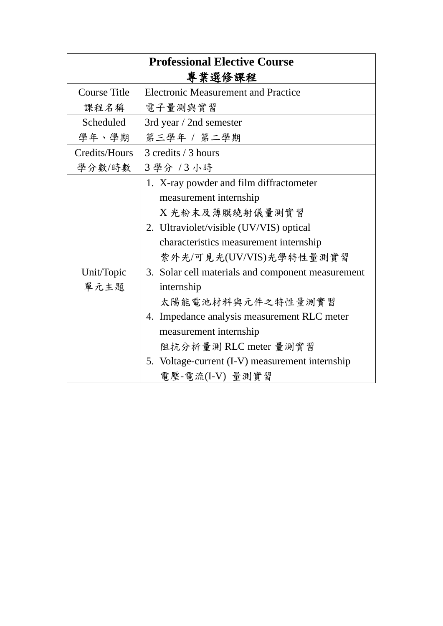| <b>Professional Elective Course</b> |                                                                                                                                                                                                                                                                                                                                                                                                                                                                      |  |
|-------------------------------------|----------------------------------------------------------------------------------------------------------------------------------------------------------------------------------------------------------------------------------------------------------------------------------------------------------------------------------------------------------------------------------------------------------------------------------------------------------------------|--|
| 專業選修課程                              |                                                                                                                                                                                                                                                                                                                                                                                                                                                                      |  |
| <b>Course Title</b>                 | <b>Electronic Measurement and Practice</b>                                                                                                                                                                                                                                                                                                                                                                                                                           |  |
| 课程名稱                                | 電子量測與實習                                                                                                                                                                                                                                                                                                                                                                                                                                                              |  |
| Scheduled                           | 3rd year / 2nd semester                                                                                                                                                                                                                                                                                                                                                                                                                                              |  |
| 學年、學期                               | 第三學年 / 第二學期                                                                                                                                                                                                                                                                                                                                                                                                                                                          |  |
| Credits/Hours                       | 3 credits / 3 hours                                                                                                                                                                                                                                                                                                                                                                                                                                                  |  |
| 學分數/時數                              | 3學分 /3小時                                                                                                                                                                                                                                                                                                                                                                                                                                                             |  |
| Unit/Topic<br>單元主題                  | 1. X-ray powder and film diffractometer<br>measurement internship<br>X 光粉末及薄膜繞射儀量測實習<br>2. Ultraviolet/visible (UV/VIS) optical<br>characteristics measurement internship<br>紫外光/可見光(UV/VIS)光學特性量測實習<br>3. Solar cell materials and component measurement<br>internship<br>太陽能電池材料與元件之特性量測實習<br>4. Impedance analysis measurement RLC meter<br>measurement internship<br>阻抗分析量測 RLC meter 量測實習<br>5. Voltage-current (I-V) measurement internship<br>電壓-電流(I-V) 量測實習 |  |